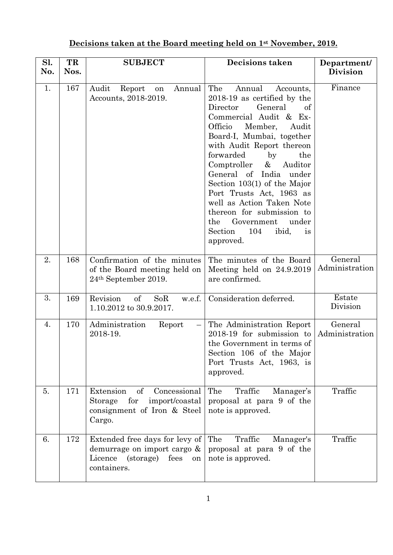## **Decisions taken at the Board meeting held on 1st November, 2019.**

| Sl.<br>No. | TR<br>Nos. | <b>SUBJECT</b>                                                                                               | <b>Decisions taken</b>                                                                                                                                                                                                                                                                                                                                                                                                                                                                                          | Department/<br><b>Division</b> |
|------------|------------|--------------------------------------------------------------------------------------------------------------|-----------------------------------------------------------------------------------------------------------------------------------------------------------------------------------------------------------------------------------------------------------------------------------------------------------------------------------------------------------------------------------------------------------------------------------------------------------------------------------------------------------------|--------------------------------|
| 1.         | 167        | Audit<br>Annual<br>Report<br>on<br>Accounts, 2018-2019.                                                      | The<br>Annual<br>Accounts,<br>2018-19 as certified by the<br>Director<br>General<br>of<br>Commercial Audit & Ex-<br>Officio<br>Member,<br>Audit<br>Board-I, Mumbai, together<br>with Audit Report thereon<br>forwarded<br>by<br>the<br>Comptroller<br>$\&$<br>Auditor<br>General of<br>India<br>under<br>Section $103(1)$ of the Major<br>Port Trusts Act, 1963 as<br>well as Action Taken Note<br>thereon for submission to<br>Government<br>the<br>under<br>Section<br>104<br>ibid,<br><i>is</i><br>approved. | Finance                        |
| 2.         | 168        | Confirmation of the minutes<br>of the Board meeting held on<br>24 <sup>th</sup> September 2019.              | The minutes of the Board<br>Meeting held on $24.9.2019$<br>are confirmed.                                                                                                                                                                                                                                                                                                                                                                                                                                       | General<br>Administration      |
| 3.         | 169        | Revision<br>$\sigma f$<br>SoR<br>w.e.f.<br>1.10.2012 to 30.9.2017.                                           | Consideration deferred.                                                                                                                                                                                                                                                                                                                                                                                                                                                                                         | Estate<br>Division             |
| 4.         | 170        | Administration<br>Report<br>2018-19.                                                                         | The Administration Report<br>2018-19 for submission to<br>the Government in terms of<br>Section 106 of the Major<br>Port Trusts Act, 1963, is<br>approved.                                                                                                                                                                                                                                                                                                                                                      | General<br>Administration      |
| 5.         | 171        | Extension<br>of<br>Concessional<br>for<br>import/coastal<br>Storage<br>consignment of Iron & Steel<br>Cargo. | The<br>Traffic<br>Manager's<br>proposal at para 9 of the<br>note is approved.                                                                                                                                                                                                                                                                                                                                                                                                                                   | Traffic                        |
| 6.         | 172        | Extended free days for levy of<br>demurrage on import cargo &<br>Licence (storage) fees<br>on<br>containers. | The<br>Traffic<br>Manager's<br>proposal at para 9 of the<br>note is approved.                                                                                                                                                                                                                                                                                                                                                                                                                                   | Traffic                        |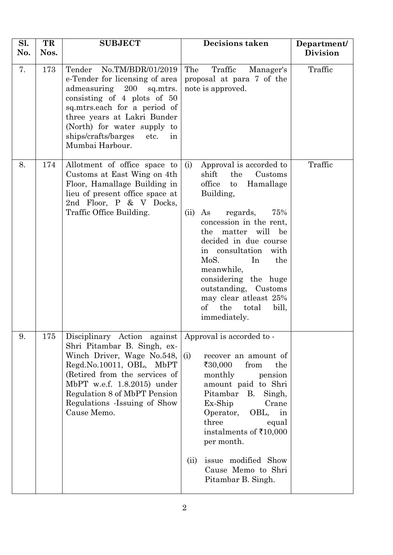| Sl.<br>No. | TR<br>Nos. | <b>SUBJECT</b>                                                                                                                                                                                                                                                                    | <b>Decisions taken</b>                                                                                                                                                                                                                                                                                                                                                                                                        | Department/<br><b>Division</b> |
|------------|------------|-----------------------------------------------------------------------------------------------------------------------------------------------------------------------------------------------------------------------------------------------------------------------------------|-------------------------------------------------------------------------------------------------------------------------------------------------------------------------------------------------------------------------------------------------------------------------------------------------------------------------------------------------------------------------------------------------------------------------------|--------------------------------|
| 7.         | 173        | Tender<br>No.TM/BDR/01/2019<br>e-Tender for licensing of area<br>admeasuring 200<br>sq.mtrs.<br>consisting of 4 plots of 50<br>sq.mtrs.each for a period of<br>three years at Lakri Bunder<br>(North) for water supply to<br>ships/crafts/barges<br>etc.<br>in<br>Mumbai Harbour. | Traffic<br>The<br>Manager's<br>proposal at para 7 of the<br>note is approved.                                                                                                                                                                                                                                                                                                                                                 | Traffic                        |
| 8.         | 174        | Allotment of office space to<br>Customs at East Wing on 4th<br>Floor, Hamallage Building in<br>lieu of present office space at<br>2nd Floor, P & V Docks,<br>Traffic Office Building.                                                                                             | Approval is accorded to<br>(i)<br>shift<br>the<br>Customs<br>office<br>Hamallage<br>$\mathbf{t}$<br>Building,<br>(ii)<br>As<br>regards,<br>75%<br>concession in the rent,<br>matter will be<br>the<br>decided in due course<br>in consultation<br>with<br>MoS.<br>In<br>the<br>meanwhile,<br>considering the huge<br>outstanding, Customs<br>may clear at least 25%<br>$\mathrm{of}$<br>the<br>total<br>bill,<br>immediately. | Traffic                        |
| 9.         | 175        | Disciplinary Action against<br>Shri Pitambar B. Singh, ex-<br>Winch Driver, Wage No.548,<br>Regd.No.10011, OBL, MbPT<br>(Retired from the services of<br>MbPT w.e.f. 1.8.2015) under<br>Regulation 8 of MbPT Pension<br>Regulations - Issuing of Show<br>Cause Memo.              | Approval is accorded to -<br>(i)<br>recover an amount of<br>₹30,000<br>from<br>the<br>monthly<br>pension<br>amount paid to Shri<br>Pitambar<br>B.<br>Singh,<br>Ex-Ship<br>Crane<br>Operator, OBL,<br>in<br>three<br>equal<br>instalments of $\bar{x}$ 10,000<br>per month.<br>issue modified Show<br>(ii)<br>Cause Memo to Shri<br>Pitambar B. Singh.                                                                         |                                |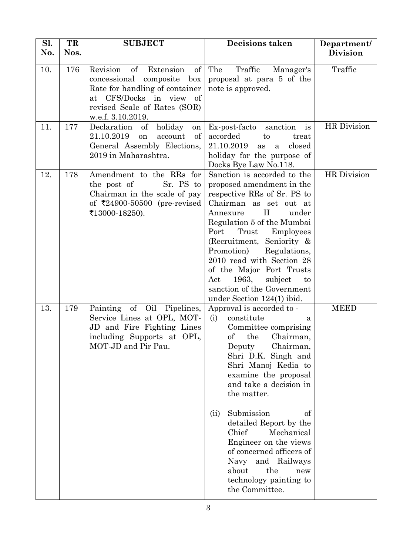| Sl.<br>No. | TR<br>Nos. | <b>SUBJECT</b>                                                                                                                                                                          | <b>Decisions taken</b>                                                                                                                                                                                                                                                                                                                                                                                                                                                | Department/<br>Division |
|------------|------------|-----------------------------------------------------------------------------------------------------------------------------------------------------------------------------------------|-----------------------------------------------------------------------------------------------------------------------------------------------------------------------------------------------------------------------------------------------------------------------------------------------------------------------------------------------------------------------------------------------------------------------------------------------------------------------|-------------------------|
| 10.        | 176        | of<br>Revision<br>$\sigma$<br>Extension<br>concessional composite box<br>Rate for handling of container<br>at CFS/Docks in view of<br>revised Scale of Rates (SOR)<br>w.e.f. 3.10.2019. | The<br>Traffic<br>Manager's<br>proposal at para 5 of the<br>note is approved.                                                                                                                                                                                                                                                                                                                                                                                         | Traffic                 |
| 11.        | 177        | holiday<br>Declaration<br>of<br>on<br>21.10.2019<br>$\sigma f$<br><b>on</b><br>account<br>General Assembly Elections,<br>2019 in Maharashtra.                                           | is<br>Ex-post-facto sanction<br>accorded<br>to<br>treat<br>21.10.2019<br>closed<br>as<br>a<br>holiday for the purpose of<br>Docks Bye Law No.118.                                                                                                                                                                                                                                                                                                                     | <b>HR</b> Division      |
| 12.        | 178        | Amendment to the RRs for<br>the post of<br>Sr. PS to<br>Chairman in the scale of pay<br>of ₹24900-50500 (pre-revised<br>₹13000-18250).                                                  | Sanction is accorded to the<br>proposed amendment in the<br>respective RRs of Sr. PS to<br>Chairman as set out at<br>$\rm II$<br>under<br>Annexure<br>Regulation 5 of the Mumbai<br>Port<br>Trust<br>Employees<br>(Recruitment, Seniority $\&$<br>Promotion)<br>Regulations,<br>2010 read with Section 28<br>of the Major Port Trusts<br>1963, subject<br>Act<br>to<br>sanction of the Government<br>under Section $124(1)$ ibid.                                     | <b>HR</b> Division      |
| 13.        | 179        | Painting of Oil Pipelines,<br>Service Lines at OPL, MOT-<br>JD and Fire Fighting Lines<br>including Supports at OPL,<br>MOT-JD and Pir Pau.                                             | Approval is accorded to -<br>(i)<br>constitute<br>a<br>Committee comprising<br>of<br>the<br>Chairman,<br>Deputy<br>Chairman,<br>Shri D.K. Singh and<br>Shri Manoj Kedia to<br>examine the proposal<br>and take a decision in<br>the matter.<br>Submission<br>(ii)<br>of<br>detailed Report by the<br>Chief<br>Mechanical<br>Engineer on the views<br>of concerned officers of<br>Navy and Railways<br>the<br>about<br>new<br>technology painting to<br>the Committee. | <b>MEED</b>             |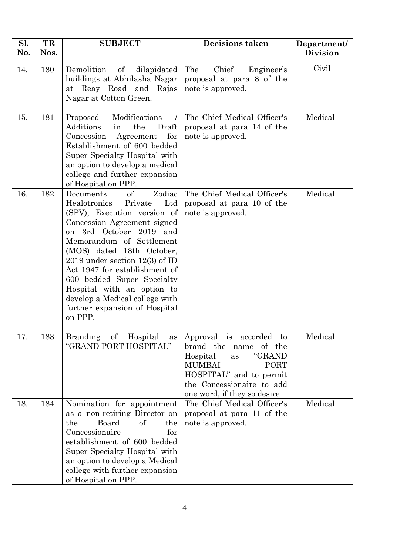| Sl. | TR   | <b>SUBJECT</b>                                                                                                                                                                                                                                                                                                                                                                                                                  | <b>Decisions taken</b>                                                                                                                                                                                           | Department/     |
|-----|------|---------------------------------------------------------------------------------------------------------------------------------------------------------------------------------------------------------------------------------------------------------------------------------------------------------------------------------------------------------------------------------------------------------------------------------|------------------------------------------------------------------------------------------------------------------------------------------------------------------------------------------------------------------|-----------------|
| No. | Nos. |                                                                                                                                                                                                                                                                                                                                                                                                                                 |                                                                                                                                                                                                                  | <b>Division</b> |
| 14. | 180  | Demolition<br>of<br>dilapidated<br>buildings at Abhilasha Nagar<br>at Reay Road and Rajas<br>Nagar at Cotton Green.                                                                                                                                                                                                                                                                                                             | Chief<br>Engineer's<br>The<br>proposal at para 8 of the<br>note is approved.                                                                                                                                     | Civil           |
| 15. | 181  | Modifications<br>Proposed<br>Additions<br>the<br>Draft<br>in<br>for<br>Concession<br>Agreement<br>Establishment of 600 bedded<br>Super Specialty Hospital with<br>an option to develop a medical<br>college and further expansion<br>of Hospital on PPP.                                                                                                                                                                        | The Chief Medical Officer's<br>proposal at para 14 of the<br>note is approved.                                                                                                                                   | Medical         |
| 16. | 182  | of<br>Zodiac<br>Documents<br>Healotronics<br>Ltd<br>Private<br>(SPV), Execution version of<br>Concession Agreement signed<br>3rd October 2019 and<br>on<br>Memorandum of Settlement<br>(MOS) dated 18th October,<br>2019 under section $12(3)$ of ID<br>Act 1947 for establishment of<br>600 bedded Super Specialty<br>Hospital with an option to<br>develop a Medical college with<br>further expansion of Hospital<br>on PPP. | The Chief Medical Officer's<br>proposal at para 10 of the<br>note is approved.                                                                                                                                   | Medical         |
| 17. | 183  | <b>Branding</b><br>of<br>Hospital<br>as<br>"GRAND PORT HOSPITAL"                                                                                                                                                                                                                                                                                                                                                                | Approval is<br>accorded<br>to<br>brand the<br>of the<br>name<br>"GRAND<br>Hospital<br>as<br><b>MUMBAI</b><br><b>PORT</b><br>HOSPITAL" and to permit<br>the Concessionaire to add<br>one word, if they so desire. | Medical         |
| 18. | 184  | Nomination for appointment<br>as a non-retiring Director on<br>the<br>Board<br>of<br>the<br>Concessionaire<br>for<br>establishment of 600 bedded<br>Super Specialty Hospital with<br>an option to develop a Medical<br>college with further expansion<br>of Hospital on PPP.                                                                                                                                                    | The Chief Medical Officer's<br>proposal at para 11 of the<br>note is approved.                                                                                                                                   | Medical         |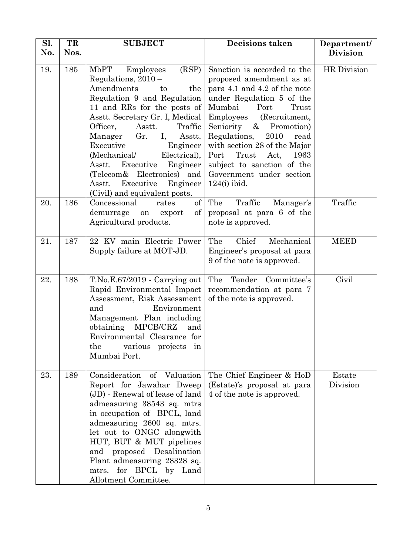| Sl.<br>No. | TR<br>Nos. | <b>SUBJECT</b>                                                                                                                                                                                                                                                                                                                                                                                                                                   | <b>Decisions taken</b>                                                                                                                                                                                                                                                                                                                                                                         | Department/<br><b>Division</b> |
|------------|------------|--------------------------------------------------------------------------------------------------------------------------------------------------------------------------------------------------------------------------------------------------------------------------------------------------------------------------------------------------------------------------------------------------------------------------------------------------|------------------------------------------------------------------------------------------------------------------------------------------------------------------------------------------------------------------------------------------------------------------------------------------------------------------------------------------------------------------------------------------------|--------------------------------|
| 19.        | 185        | MbPT<br>(RSP)<br>Employees<br>Regulations, $2010 -$<br>Amendments<br>the<br>to<br>Regulation 9 and Regulation<br>11 and RRs for the posts of<br>Asstt. Secretary Gr. I, Medical<br>Officer,<br>Asstt.<br>Traffic<br>Gr.<br>I,<br>Manager<br>Asstt.<br>Executive<br>Engineer<br>(Mechanical/<br>Electrical),<br>Asstt.<br>Executive<br>Engineer<br>(Telecom& Electronics) and<br>Executive<br>Engineer<br>Asstt.<br>(Civil) and equivalent posts. | Sanction is accorded to the<br>proposed amendment as at<br>para 4.1 and 4.2 of the note<br>under Regulation 5 of the<br>Mumbai<br>Port<br>Trust<br>(Recruitment,<br><b>Employees</b><br>& Promotion)<br>Seniority<br>Regulations,<br>2010<br>read<br>with section 28 of the Major<br>Port<br>Trust<br>Act,<br>1963<br>subject to sanction of the<br>Government under section<br>$124(i)$ ibid. | HR Division                    |
| 20.        | 186        | of<br>Concessional<br>rates<br>of<br>demurrage<br>export<br>on<br>Agricultural products.                                                                                                                                                                                                                                                                                                                                                         | Traffic<br>The<br>Manager's<br>proposal at para 6 of the<br>note is approved.                                                                                                                                                                                                                                                                                                                  | Traffic                        |
| 21.        | 187        | 22 KV main Electric Power<br>Supply failure at MOT-JD.                                                                                                                                                                                                                                                                                                                                                                                           | Chief<br>The<br>Mechanical<br>Engineer's proposal at para<br>9 of the note is approved.                                                                                                                                                                                                                                                                                                        | <b>MEED</b>                    |
| 22.        | 188        | $T.No.E.67/2019 - Carrying out$<br>Rapid Environmental Impact<br>Assessment, Risk Assessment<br>and<br>Environment<br>Management Plan including<br>MPCB/CRZ<br>obtaining<br>and<br>Environmental Clearance for<br>the<br>various projects in<br>Mumbai Port.                                                                                                                                                                                     | The<br>Tender Committee's<br>recommendation at para 7<br>of the note is approved.                                                                                                                                                                                                                                                                                                              | Civil                          |
| 23.        | 189        | Consideration<br>of Valuation<br>Report for Jawahar Dweep<br>(JD) - Renewal of lease of land<br>admeasuring 38543 sq. mtrs<br>in occupation of BPCL, land<br>admeasuring 2600 sq. mtrs.<br>let out to ONGC alongwith<br>HUT, BUT & MUT pipelines<br>and proposed Desalination<br>Plant admeasuring 28328 sq.<br>mtrs. for BPCL by Land<br>Allotment Committee.                                                                                   | The Chief Engineer & HoD<br>(Estate)'s proposal at para<br>4 of the note is approved.                                                                                                                                                                                                                                                                                                          | Estate<br>Division             |